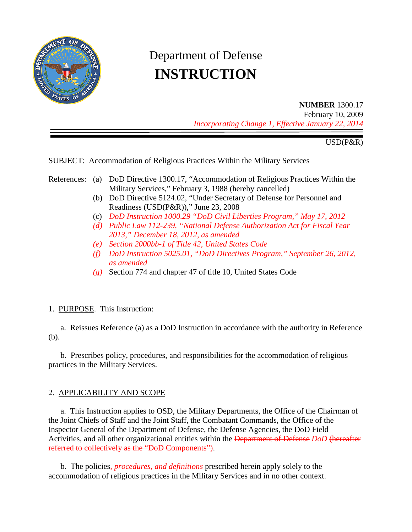

# Department of Defense **INSTRUCTION**

**NUMBER** 1300.17 February 10, 2009 *Incorporating Change 1, Effective January 22, 2014*

USD(P&R)

SUBJECT: Accommodation of Religious Practices Within the Military Services

#### References: (a) DoD Directive 1300.17, "Accommodation of Religious Practices Within the Military Services," February 3, 1988 (hereby cancelled)

- (b) DoD Directive 5124.02, "Under Secretary of Defense for Personnel and Readiness (USD(P&R))," June 23, 2008
- (c) *DoD Instruction 1000.29 "DoD Civil Liberties Program," May 17, 2012*
- *(d) Public Law 112-239, "National Defense Authorization Act for Fiscal Year 2013," December 18, 2012, as amended*
- *(e) Section 2000bb-1 of Title 42, United States Code*
- *(f) DoD Instruction 5025.01, "DoD Directives Program," September 26, 2012, as amended*
- *(g)* Section 774 and chapter 47 of title 10, United States Code

#### 1. PURPOSE. This Instruction:

a. Reissues Reference (a) as a DoD Instruction in accordance with the authority in Reference (b).

b. Prescribes policy, procedures, and responsibilities for the accommodation of religious practices in the Military Services.

### 2. APPLICABILITY AND SCOPE

a. This Instruction applies to OSD, the Military Departments, the Office of the Chairman of the Joint Chiefs of Staff and the Joint Staff, the Combatant Commands, the Office of the Inspector General of the Department of Defense, the Defense Agencies, the DoD Field Activities, and all other organizational entities within the Department of Defense *DoD* (hereafter referred to collectively as the "DoD Components").

b. The policies*, procedures, and definitions* prescribed herein apply solely to the accommodation of religious practices in the Military Services and in no other context.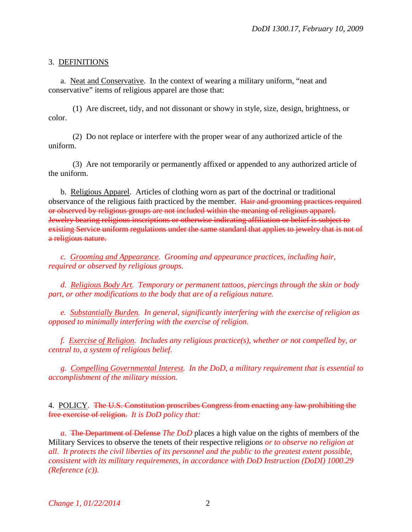#### 3. DEFINITIONS

a. Neat and Conservative. In the context of wearing a military uniform, "neat and conservative" items of religious apparel are those that:

(1) Are discreet, tidy, and not dissonant or showy in style, size, design, brightness, or color.

(2) Do not replace or interfere with the proper wear of any authorized article of the uniform.

(3) Are not temporarily or permanently affixed or appended to any authorized article of the uniform.

b. Religious Apparel. Articles of clothing worn as part of the doctrinal or traditional observance of the religious faith practiced by the member. Hair and grooming practices required or observed by religious groups are not included within the meaning of religious apparel. Jewelry bearing religious inscriptions or otherwise indicating affiliation or belief is subject to existing Service uniform regulations under the same standard that applies to jewelry that is not of a religious nature.

*c. Grooming and Appearance. Grooming and appearance practices, including hair, required or observed by religious groups.* 

*d. Religious Body Art. Temporary or permanent tattoos, piercings through the skin or body part, or other modifications to the body that are of a religious nature.*

*e. Substantially Burden. In general, significantly interfering with the exercise of religion as opposed to minimally interfering with the exercise of religion.*

*f. Exercise of Religion. Includes any religious practice(s), whether or not compelled by, or central to, a system of religious belief.*

*g. Compelling Governmental Interest. In the DoD, a military requirement that is essential to accomplishment of the military mission.*

4. POLICY. The U.S. Constitution proscribes Congress from enacting any law prohibiting the free exercise of religion. *It is DoD policy that:*

*a.* The Department of Defense *The DoD* places a high value on the rights of members of the Military Services to observe the tenets of their respective religions *or to observe no religion at all*. *It protects the civil liberties of its personnel and the public to the greatest extent possible, consistent with its military requirements, in accordance with DoD Instruction (DoDI) 1000.29 (Reference (c)).*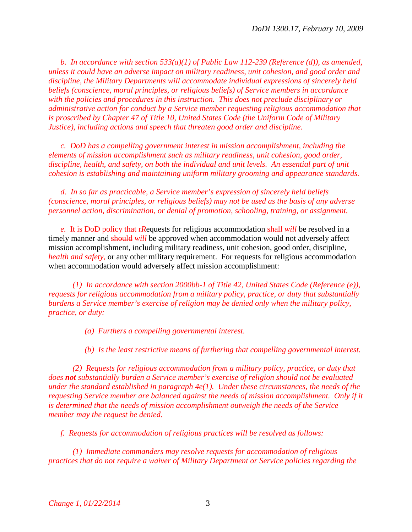*b. In accordance with section 533(a)(1) of Public Law 112-239 (Reference (d)), as amended, unless it could have an adverse impact on military readiness, unit cohesion, and good order and discipline, the Military Departments will accommodate individual expressions of sincerely held beliefs (conscience, moral principles, or religious beliefs) of Service members in accordance with the policies and procedures in this instruction. This does not preclude disciplinary or administrative action for conduct by a Service member requesting religious accommodation that is proscribed by Chapter 47 of Title 10, United States Code (the Uniform Code of Military Justice), including actions and speech that threaten good order and discipline.*

*c. DoD has a compelling government interest in mission accomplishment, including the elements of mission accomplishment such as military readiness, unit cohesion, good order, discipline, health, and safety, on both the individual and unit levels. An essential part of unit cohesion is establishing and maintaining uniform military grooming and appearance standards.*

*d. In so far as practicable, a Service member's expression of sincerely held beliefs (conscience, moral principles, or religious beliefs) may not be used as the basis of any adverse personnel action, discrimination, or denial of promotion, schooling, training, or assignment.*

*e.* It is DoD policy that r*R*equests for religious accommodation shall *will* be resolved in a timely manner and should *will* be approved when accommodation would not adversely affect mission accomplishment, including military readiness, unit cohesion, good order, discipline, *health and safety,* or any other military requirement. For requests for religious accommodation when accommodation would adversely affect mission accomplishment:

*(1) In accordance with section 2000bb-1 of Title 42, United States Code (Reference (e)), requests for religious accommodation from a military policy, practice, or duty that substantially burdens a Service member's exercise of religion may be denied only when the military policy, practice, or duty:* 

- *(a) Furthers a compelling governmental interest.*
- *(b) Is the least restrictive means of furthering that compelling governmental interest.*

*(2) Requests for religious accommodation from a military policy, practice, or duty that does not substantially burden a Service member's exercise of religion should not be evaluated under the standard established in paragraph 4e(1). Under these circumstances, the needs of the requesting Service member are balanced against the needs of mission accomplishment. Only if it is determined that the needs of mission accomplishment outweigh the needs of the Service member may the request be denied.*

*f. Requests for accommodation of religious practices will be resolved as follows:*

*(1) Immediate commanders may resolve requests for accommodation of religious practices that do not require a waiver of Military Department or Service policies regarding the*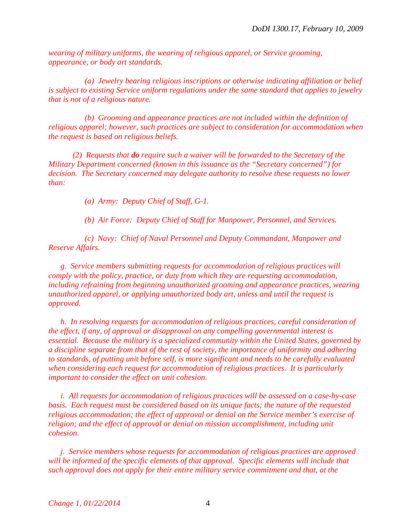*wearing of military uniforms, the wearing of religious apparel, or Service grooming, appearance, or body art standards.* 

*(a) Jewelry bearing religious inscriptions or otherwise indicating affiliation or belief is subject to existing Service uniform regulations under the same standard that applies to jewelry that is not of a religious nature.*

*(b) Grooming and appearance practices are not included within the definition of religious apparel; however, such practices are subject to consideration for accommodation when the request is based on religious beliefs.*

*(2) Requests that do require such a waiver will be forwarded to the Secretary of the Military Department concerned (known in this issuance as the "Secretary concerned") for decision. The Secretary concerned may delegate authority to resolve these requests no lower than:*

*(a) Army: Deputy Chief of Staff, G-1.*

*(b) Air Force: Deputy Chief of Staff for Manpower, Personnel, and Services.*

*(c) Navy: Chief of Naval Personnel and Deputy Commandant, Manpower and Reserve Affairs.* 

*g. Service members submitting requests for accommodation of religious practices will comply with the policy, practice, or duty from which they are requesting accommodation, including refraining from beginning unauthorized grooming and appearance practices, wearing unauthorized apparel, or applying unauthorized body art, unless and until the request is approved.*

*h. In resolving requests for accommodation of religious practices, careful consideration of the effect, if any, of approval or disapproval on any compelling governmental interest is essential. Because the military is a specialized community within the United States, governed by a discipline separate from that of the rest of society, the importance of uniformity and adhering to standards, of putting unit before self, is more significant and needs to be carefully evaluated when considering each request for accommodation of religious practices. It is particularly important to consider the effect on unit cohesion.*

*i. All requests for accommodation of religious practices will be assessed on a case-by-case basis. Each request must be considered based on its unique facts; the nature of the requested religious accommodation; the effect of approval or denial on the Service member's exercise of religion; and the effect of approval or denial on mission accomplishment, including unit cohesion.* 

*j. Service members whose requests for accommodation of religious practices are approved will be informed of the specific elements of that approval. Specific elements will include that such approval does not apply for their entire military service commitment and that, at the*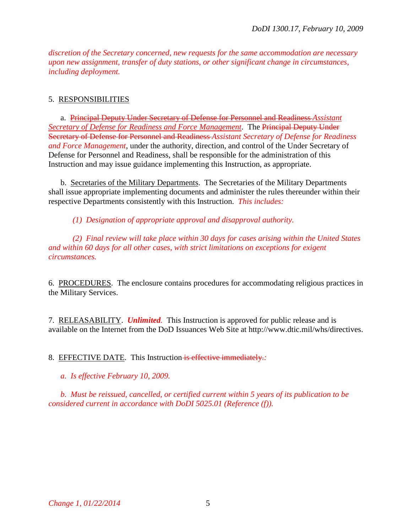*discretion of the Secretary concerned, new requests for the same accommodation are necessary upon new assignment, transfer of duty stations, or other significant change in circumstances, including deployment.*

#### 5. RESPONSIBILITIES

a. Principal Deputy Under Secretary of Defense for Personnel and Readiness *Assistant Secretary of Defense for Readiness and Force Management*. The Principal Deputy Under Secretary of Defense for Personnel and Readiness *Assistant Secretary of Defense for Readiness and Force Management*, under the authority, direction, and control of the Under Secretary of Defense for Personnel and Readiness, shall be responsible for the administration of this Instruction and may issue guidance implementing this Instruction, as appropriate.

b. Secretaries of the Military Departments. The Secretaries of the Military Departments shall issue appropriate implementing documents and administer the rules thereunder within their respective Departments consistently with this Instruction. *This includes:*

*(1) Designation of appropriate approval and disapproval authority.*

*(2) Final review will take place within 30 days for cases arising within the United States and within 60 days for all other cases, with strict limitations on exceptions for exigent circumstances.*

6. PROCEDURES. The enclosure contains procedures for accommodating religious practices in the Military Services.

7. RELEASABILITY. *Unlimited.* This Instruction is approved for public release and is available on the Internet from the DoD Issuances Web Site at http://www.dtic.mil/whs/directives.

8. EFFECTIVE DATE. This Instruction is effective immediately.*:*

*a. Is effective February 10, 2009.* 

*b. Must be reissued, cancelled, or certified current within 5 years of its publication to be considered current in accordance with DoDI 5025.01 (Reference (f)).*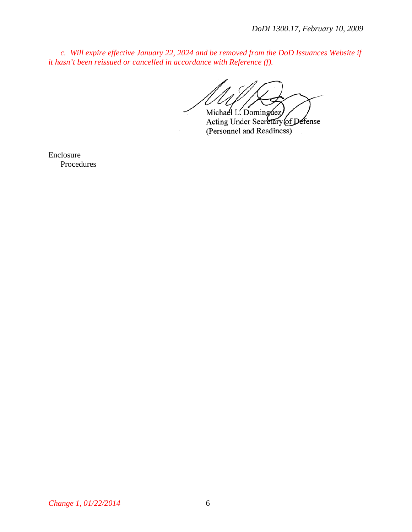*c. Will expire effective January 22, 2024 and be removed from the DoD Issuances Website if it hasn't been reissued or cancelled in accordance with Reference (f).*

Michael L. Dominguez

Acting Under Secretary of Defense (Personnel and Readiness)

Enclosure Procedures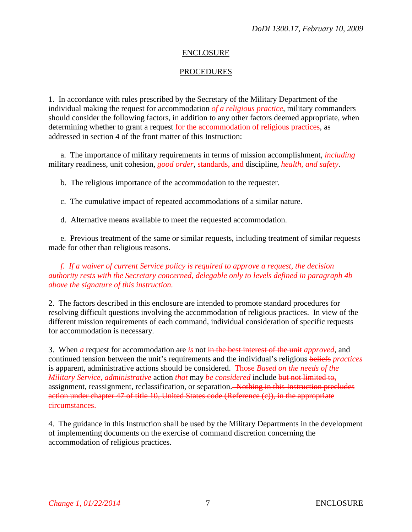### ENCLOSURE

## PROCEDURES

1. In accordance with rules prescribed by the Secretary of the Military Department of the individual making the request for accommodation *of a religious practice*, military commanders should consider the following factors, in addition to any other factors deemed appropriate, when determining whether to grant a request for the accommodation of religious practices, as addressed in section 4 of the front matter of this Instruction:

a. The importance of military requirements in terms of mission accomplishment, *including* military readiness, unit cohesion, *good order*, standards, and discipline, *health, and safety*.

b. The religious importance of the accommodation to the requester.

c. The cumulative impact of repeated accommodations of a similar nature.

d. Alternative means available to meet the requested accommodation.

e. Previous treatment of the same or similar requests, including treatment of similar requests made for other than religious reasons.

*f. If a waiver of current Service policy is required to approve a request, the decision authority rests with the Secretary concerned, delegable only to levels defined in paragraph 4b above the signature of this instruction.*

2. The factors described in this enclosure are intended to promote standard procedures for resolving difficult questions involving the accommodation of religious practices. In view of the different mission requirements of each command, individual consideration of specific requests for accommodation is necessary.

3. When *a* request for accommodation are *is* not in the best interest of the unit *approved*, and continued tension between the unit's requirements and the individual's religious beliefs *practices* is apparent, administrative actions should be considered. Those *Based on the needs of the Military Service, administrative* action *that* may *be considered* include but not limited to, assignment, reassignment, reclassification, or separation. Nothing in this Instruction precludes action under chapter 47 of title 10, United States code (Reference (c)), in the appropriate circumstances.

4. The guidance in this Instruction shall be used by the Military Departments in the development of implementing documents on the exercise of command discretion concerning the accommodation of religious practices.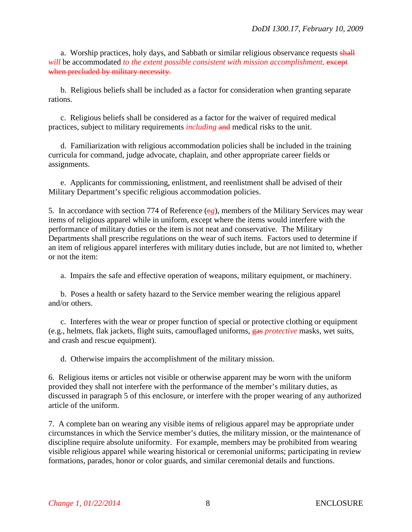a. Worship practices, holy days, and Sabbath or similar religious observance requests shall *will* be accommodated *to the extent possible consistent with mission accomplishment*. except when precluded by military necessity.

b. Religious beliefs shall be included as a factor for consideration when granting separate rations.

c. Religious beliefs shall be considered as a factor for the waiver of required medical practices, subject to military requirements *including* and medical risks to the unit.

d. Familiarization with religious accommodation policies shall be included in the training curricula for command, judge advocate, chaplain, and other appropriate career fields or assignments.

e. Applicants for commissioning, enlistment, and reenlistment shall be advised of their Military Department's specific religious accommodation policies.

5. In accordance with section 774 of Reference (e*g*), members of the Military Services may wear items of religious apparel while in uniform, except where the items would interfere with the performance of military duties or the item is not neat and conservative. The Military Departments shall prescribe regulations on the wear of such items. Factors used to determine if an item of religious apparel interferes with military duties include, but are not limited to, whether or not the item:

a. Impairs the safe and effective operation of weapons, military equipment, or machinery.

b. Poses a health or safety hazard to the Service member wearing the religious apparel and/or others.

c. Interferes with the wear or proper function of special or protective clothing or equipment (e.g., helmets, flak jackets, flight suits, camouflaged uniforms, gas *protective* masks, wet suits, and crash and rescue equipment).

d. Otherwise impairs the accomplishment of the military mission.

6. Religious items or articles not visible or otherwise apparent may be worn with the uniform provided they shall not interfere with the performance of the member's military duties, as discussed in paragraph 5 of this enclosure, or interfere with the proper wearing of any authorized article of the uniform.

7. A complete ban on wearing any visible items of religious apparel may be appropriate under circumstances in which the Service member's duties, the military mission, or the maintenance of discipline require absolute uniformity. For example, members may be prohibited from wearing visible religious apparel while wearing historical or ceremonial uniforms; participating in review formations, parades, honor or color guards, and similar ceremonial details and functions.